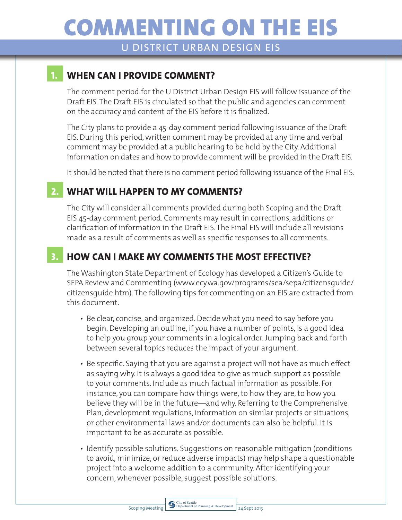# COMMENTING ON THE EIS

U DISTRICT URBAN DESIGN EIS

#### **1. WHEN CAN I PROVIDE COMMENT?**

The comment period for the U District Urban Design EIS will follow issuance of the Draft EIS. The Draft EIS is circulated so that the public and agencies can comment on the accuracy and content of the EIS before it is finalized.

The City plans to provide a 45-day comment period following issuance of the Draft EIS. During this period, written comment may be provided at any time and verbal comment may be provided at a public hearing to be held by the City. Additional information on dates and how to provide comment will be provided in the Draft EIS.

It should be noted that there is no comment period following issuance of the Final EIS.

#### **2. WHAT WILL HAPPEN TO MY COMMENTS?**

The City will consider all comments provided during both Scoping and the Draft EIS 45-day comment period. Comments may result in corrections, additions or clarification of information in the Draft EIS. The Final EIS will include all revisions made as a result of comments as well as specific responses to all comments.

## **3. HOW CAN I MAKE MY COMMENTS THE MOST EFFECTIVE?**

The Washington State Department of Ecology has developed a Citizen's Guide to SEPA Review and Commenting (www.ecy.wa.gov/programs/sea/sepa/citizensguide/ citizensguide.htm). The following tips for commenting on an EIS are extracted from this document.

- Be clear, concise, and organized. Decide what you need to say before you begin. Developing an outline, if you have a number of points, is a good idea to help you group your comments in a logical order. Jumping back and forth between several topics reduces the impact of your argument.
- Be specific. Saying that you are against a project will not have as much effect as saying why. It is always a good idea to give as much support as possible to your comments. Include as much factual information as possible. For instance, you can compare how things were, to how they are, to how you believe they will be in the future—and why. Referring to the Comprehensive Plan, development regulations, information on similar projects or situations, or other environmental laws and/or documents can also be helpful. It is important to be as accurate as possible.
- Identify possible solutions. Suggestions on reasonable mitigation (conditions to avoid, minimize, or reduce adverse impacts) may help shape a questionable project into a welcome addition to a community. After identifying your concern, whenever possible, suggest possible solutions.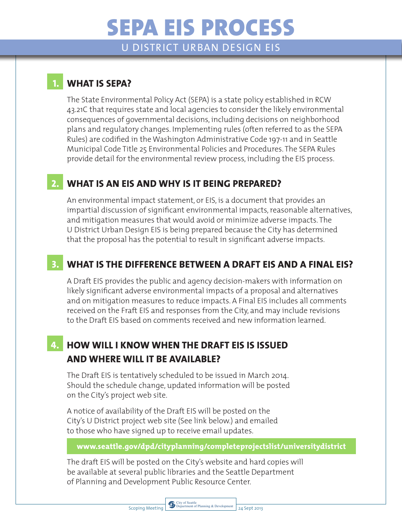# SEPA EIS PROCESS

U DISTRICT URBAN DESIGN EIS

#### **1. WHAT IS SEPA?**

The State Environmental Policy Act (SEPA) is a state policy established in RCW 43.21C that requires state and local agencies to consider the likely environmental consequences of governmental decisions, including decisions on neighborhood plans and regulatory changes. Implementing rules (often referred to as the SEPA Rules) are codified in the Washington Administrative Code 197-11 and in Seattle Municipal Code Title 25 Environmental Policies and Procedures. The SEPA Rules provide detail for the environmental review process, including the EIS process.

### **2. WHAT IS AN EIS AND WHY IS IT BEING PREPARED?**

An environmental impact statement, or EIS, is a document that provides an impartial discussion of significant environmental impacts, reasonable alternatives, and mitigation measures that would avoid or minimize adverse impacts. The U District Urban Design EIS is being prepared because the City has determined that the proposal has the potential to result in significant adverse impacts.

## **3. WHAT IS THE DIFFERENCE BETWEEN A DRAFT EIS AND A FINAL EIS?**

A Draft EIS provides the public and agency decision-makers with information on likely significant adverse environmental impacts of a proposal and alternatives and on mitigation measures to reduce impacts. A Final EIS includes all comments received on the Fraft EIS and responses from the City, and may include revisions to the Draft EIS based on comments received and new information learned.

### **4. HOW WILL I KNOW WHEN THE DRAFT EIS IS ISSUED AND WHERE WILL IT BE AVAILABLE?**

The Draft EIS is tentatively scheduled to be issued in March 2014. Should the schedule change, updated information will be posted on the City's project web site.

A notice of availability of the Draft EIS will be posted on the City's U District project web site (See link below.) and emailed to those who have signed up to receive email updates.

**www.seattle.gov/dpd/cityplanning/completeprojectslist/universitydistrict**

The draft EIS will be posted on the City's website and hard copies will be available at several public libraries and the Seattle Department of Planning and Development Public Resource Center.